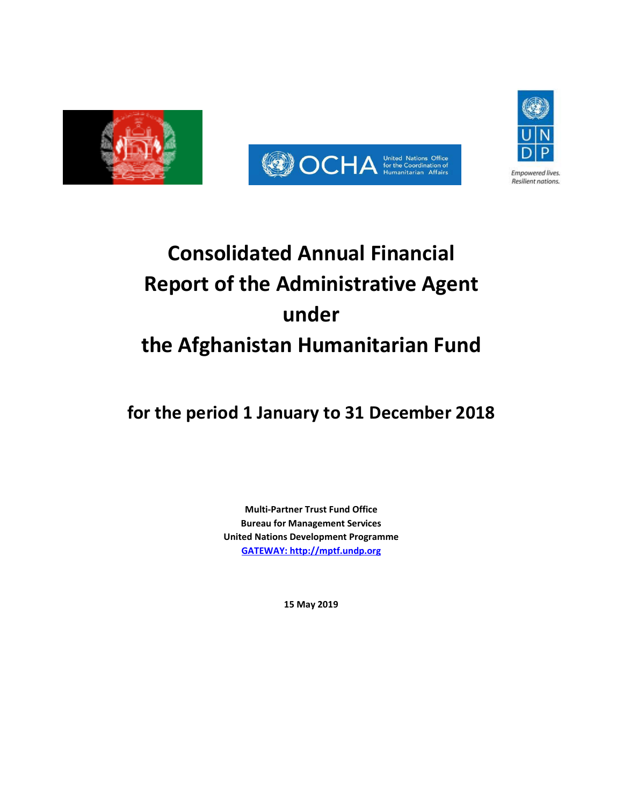





Resilient nations.

**Consolidated Annual Financial Report of the Administrative Agent**

# **under**

# **the Afghanistan Humanitarian Fund**

**for the period 1 January to 31 December 2018**

**Multi-Partner Trust Fund Office Bureau for Management Services United Nations Development Programme [GATEWAY: http://mptf.undp.org](http://mptf.undp.org/)**

**15 May 2019**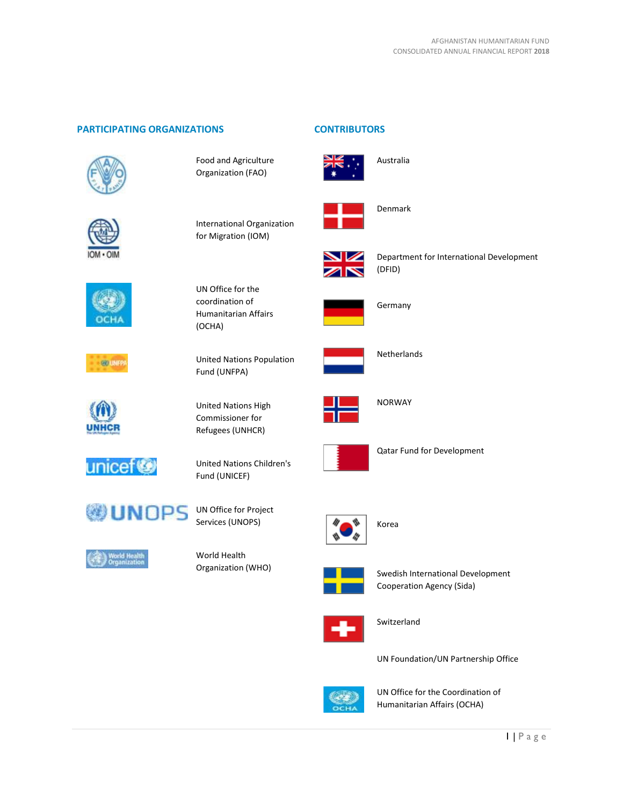# **PARTICIPATING ORGANIZATIONS CONTRIBUTORS**



Food and Agriculture Organization (FAO)



International Organization for Migration (IOM)

United Nations Population

UN Office for the coordination of Humanitarian Affairs

(OCHA)

Fund (UNFPA)

United Nations High Commissioner for Refugees (UNHCR)

United Nations Children's











Services (UNOPS)

Fund (UNICEF)



World Health Organization (WHO)





Australia



Denmark



Department for International Development (DFID)



Germany



Netherlands



NORWAY





Qatar Fund for Development



Korea



Swedish International Development Cooperation Agency (Sida)



Switzerland

UN Foundation/UN Partnership Office



UN Office for the Coordination of Humanitarian Affairs (OCHA)

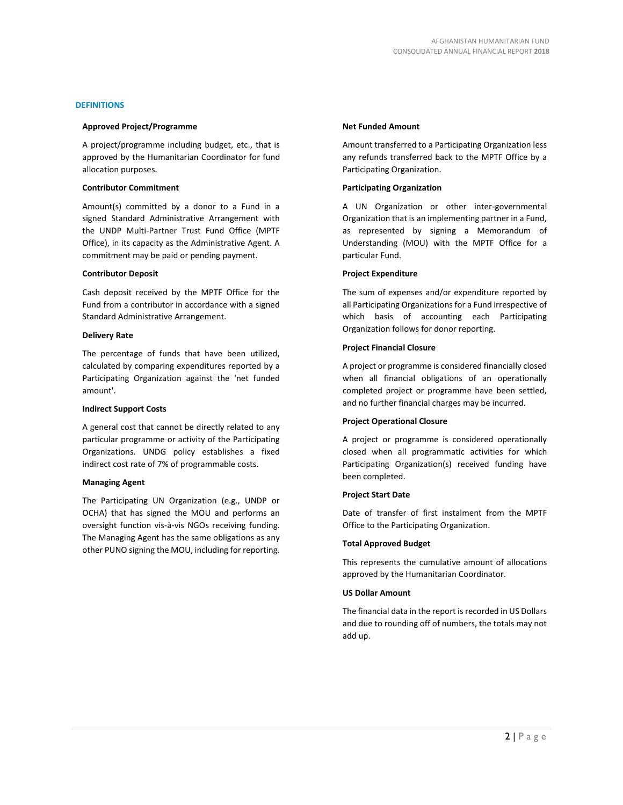### **DEFINITIONS**

#### **Approved Project/Programme**

A project/programme including budget, etc., that is approved by the Humanitarian Coordinator for fund allocation purposes.

#### **Contributor Commitment**

Amount(s) committed by a donor to a Fund in a signed Standard Administrative Arrangement with the UNDP Multi-Partner Trust Fund Office (MPTF Office), in its capacity as the Administrative Agent. A commitment may be paid or pending payment.

#### **Contributor Deposit**

Cash deposit received by the MPTF Office for the Fund from a contributor in accordance with a signed Standard Administrative Arrangement.

#### **Delivery Rate**

The percentage of funds that have been utilized, calculated by comparing expenditures reported by a Participating Organization against the 'net funded amount'.

### **Indirect Support Costs**

A general cost that cannot be directly related to any particular programme or activity of the Participating Organizations. UNDG policy establishes a fixed indirect cost rate of 7% of programmable costs.

### **Managing Agent**

The Participating UN Organization (e.g., UNDP or OCHA) that has signed the MOU and performs an oversight function vis-à-vis NGOs receiving funding. The Managing Agent has the same obligations as any other PUNO signing the MOU, including for reporting.

#### **Net Funded Amount**

Amount transferred to a Participating Organization less any refunds transferred back to the MPTF Office by a Participating Organization.

#### **Participating Organization**

A UN Organization or other inter-governmental Organization that is an implementing partner in a Fund, as represented by signing a Memorandum of Understanding (MOU) with the MPTF Office for a particular Fund.

#### **Project Expenditure**

The sum of expenses and/or expenditure reported by all Participating Organizations for a Fund irrespective of which basis of accounting each Participating Organization follows for donor reporting.

#### **Project Financial Closure**

A project or programme is considered financially closed when all financial obligations of an operationally completed project or programme have been settled, and no further financial charges may be incurred.

#### **Project Operational Closure**

A project or programme is considered operationally closed when all programmatic activities for which Participating Organization(s) received funding have been completed.

### **Project Start Date**

Date of transfer of first instalment from the MPTF Office to the Participating Organization.

### **Total Approved Budget**

This represents the cumulative amount of allocations approved by the Humanitarian Coordinator.

### **US Dollar Amount**

The financial data in the report is recorded in US Dollars and due to rounding off of numbers, the totals may not add up.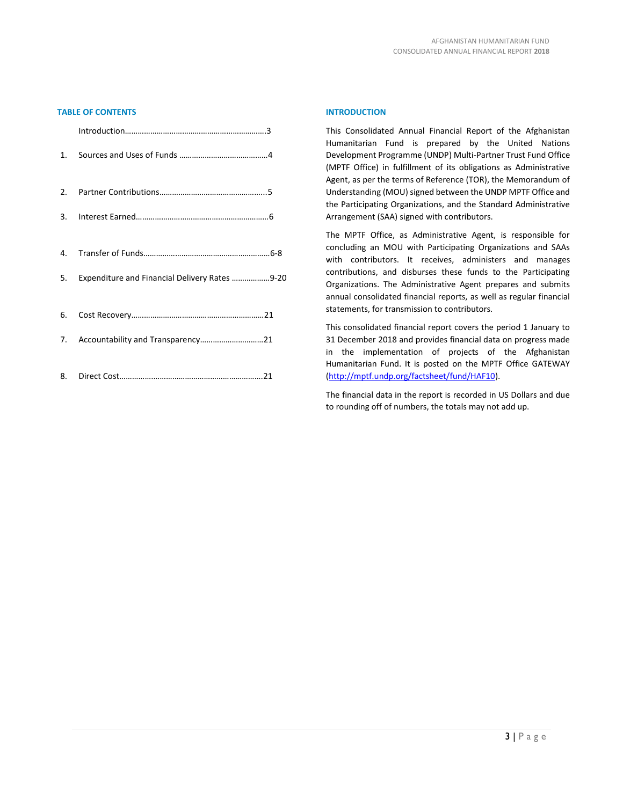# **TABLE OF CONTENTS**

| $\mathbf{1}$ . |                                                  |
|----------------|--------------------------------------------------|
|                |                                                  |
|                |                                                  |
|                |                                                  |
|                | 5. Expenditure and Financial Delivery Rates 9-20 |
|                |                                                  |
|                |                                                  |
|                |                                                  |

## **INTRODUCTION**

This Consolidated Annual Financial Report of the Afghanistan Humanitarian Fund is prepared by the United Nations Development Programme (UNDP) Multi-Partner Trust Fund Office (MPTF Office) in fulfillment of its obligations as Administrative Agent, as per the terms of Reference (TOR), the Memorandum of Understanding (MOU) signed between the UNDP MPTF Office and the Participating Organizations, and the Standard Administrative Arrangement (SAA) signed with contributors.

The MPTF Office, as Administrative Agent, is responsible for concluding an MOU with Participating Organizations and SAAs with contributors. It receives, administers and manages contributions, and disburses these funds to the Participating Organizations. The Administrative Agent prepares and submits annual consolidated financial reports, as well as regular financial statements, for transmission to contributors.

This consolidated financial report covers the period 1 January to 31 December 2018 and provides financial data on progress made in the implementation of projects of the Afghanistan Humanitarian Fund. It is posted on the MPTF Office GATEWAY [\(http://mptf.undp.org/factsheet/fund/HAF10\)](http://mptf.undp.org/factsheet/fund/HAF10).

The financial data in the report is recorded in US Dollars and due to rounding off of numbers, the totals may not add up.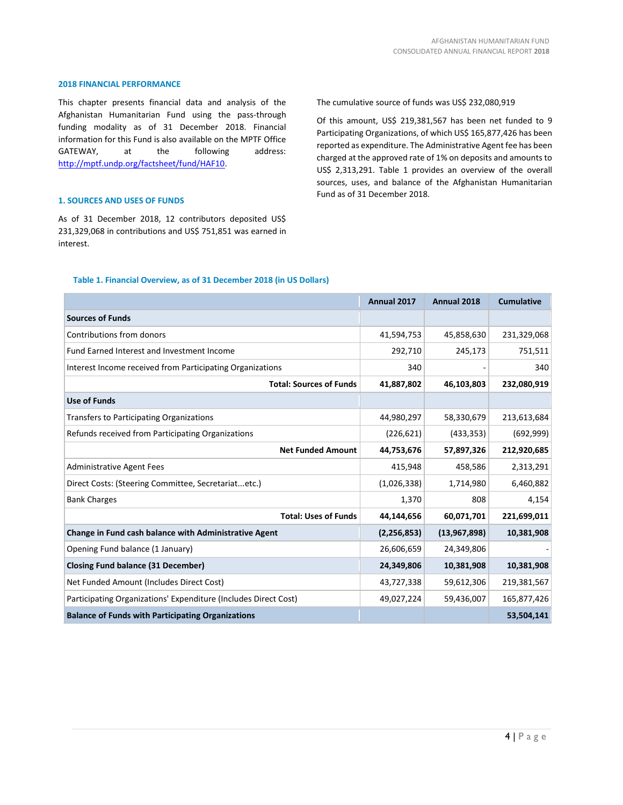#### **2018 FINANCIAL PERFORMANCE**

This chapter presents financial data and analysis of the Afghanistan Humanitarian Fund using the pass-through funding modality as of 31 December 2018. Financial information for this Fund is also available on the MPTF Office GATEWAY, at the following address: [http://mptf.undp.org/factsheet/fund/HAF10.](http://mptf.undp.org/factsheet/fund/HAF10)

#### **1. SOURCES AND USES OF FUNDS**

As of 31 December 2018, 12 contributors deposited US\$ 231,329,068 in contributions and US\$ 751,851 was earned in interest.

The cumulative source of funds was US\$ 232,080,919

Of this amount, US\$ 219,381,567 has been net funded to 9 Participating Organizations, of which US\$ 165,877,426 has been reported as expenditure. The Administrative Agent fee has been charged at the approved rate of 1% on deposits and amounts to US\$ 2,313,291. Table 1 provides an overview of the overall sources, uses, and balance of the Afghanistan Humanitarian Fund as of 31 December 2018.

# **Table 1. Financial Overview, as of 31 December 2018 (in US Dollars)**

|                                                                 | Annual 2017   | Annual 2018  | <b>Cumulative</b> |
|-----------------------------------------------------------------|---------------|--------------|-------------------|
| <b>Sources of Funds</b>                                         |               |              |                   |
| Contributions from donors                                       | 41,594,753    | 45,858,630   | 231,329,068       |
| Fund Earned Interest and Investment Income                      | 292,710       | 245,173      | 751,511           |
| Interest Income received from Participating Organizations       | 340           |              | 340               |
| <b>Total: Sources of Funds</b>                                  | 41,887,802    | 46,103,803   | 232,080,919       |
| <b>Use of Funds</b>                                             |               |              |                   |
| <b>Transfers to Participating Organizations</b>                 | 44,980,297    | 58,330,679   | 213,613,684       |
| Refunds received from Participating Organizations               | (226, 621)    | (433, 353)   | (692, 999)        |
| <b>Net Funded Amount</b>                                        | 44,753,676    | 57,897,326   | 212,920,685       |
| <b>Administrative Agent Fees</b>                                | 415,948       | 458,586      | 2,313,291         |
| Direct Costs: (Steering Committee, Secretariatetc.)             | (1,026,338)   | 1,714,980    | 6,460,882         |
| <b>Bank Charges</b>                                             | 1,370         | 808          | 4,154             |
| <b>Total: Uses of Funds</b>                                     | 44,144,656    | 60,071,701   | 221,699,011       |
| Change in Fund cash balance with Administrative Agent           | (2, 256, 853) | (13,967,898) | 10,381,908        |
| Opening Fund balance (1 January)                                | 26,606,659    | 24,349,806   |                   |
| <b>Closing Fund balance (31 December)</b>                       | 24,349,806    | 10,381,908   | 10,381,908        |
| Net Funded Amount (Includes Direct Cost)                        | 43,727,338    | 59,612,306   | 219,381,567       |
| Participating Organizations' Expenditure (Includes Direct Cost) | 49,027,224    | 59,436,007   | 165,877,426       |
| <b>Balance of Funds with Participating Organizations</b>        |               |              | 53,504,141        |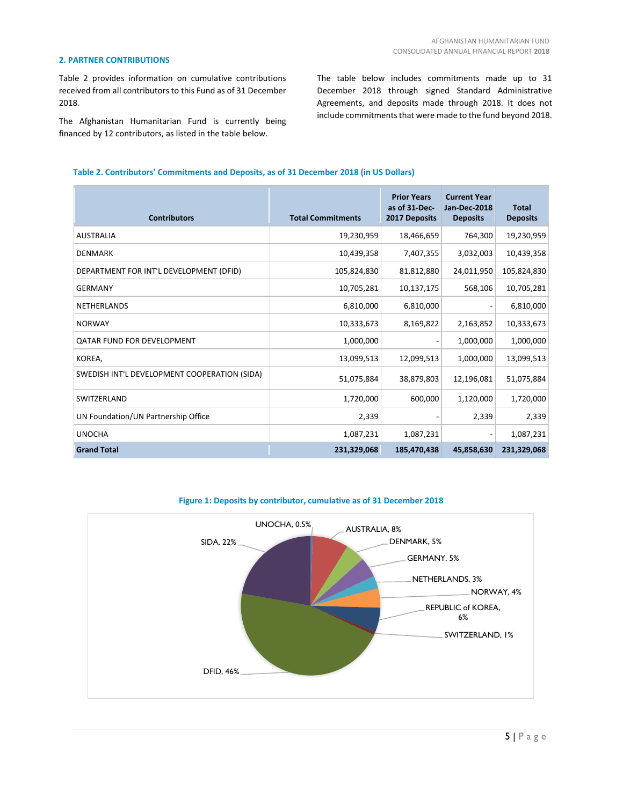## **2. PARTNER CONTRIBUTIONS**

Table 2 provides information on cumulative contributions received from all contributors to this Fund as of 31 December 2018.

The Afghanistan Humanitarian Fund is currently being financed by 12 contributors, as listed in the table below.

The table below includes commitments made up to 31 December 2018 through signed Standard Administrative Agreements, and deposits made through 2018. It does not include commitments that were made to the fund beyond 2018.

# **Table 2. Contributors' Commitments and Deposits, as of 31 December 2018 (in US Dollars)**

| <b>Contributors</b>                          | <b>Total Commitments</b> | <b>Prior Years</b><br>as of 31-Dec-<br>2017 Deposits | <b>Current Year</b><br>Jan-Dec-2018<br><b>Deposits</b> | <b>Total</b><br><b>Deposits</b> |
|----------------------------------------------|--------------------------|------------------------------------------------------|--------------------------------------------------------|---------------------------------|
| <b>AUSTRALIA</b>                             | 19,230,959               | 18,466,659                                           | 764,300                                                | 19,230,959                      |
| <b>DENMARK</b>                               | 10,439,358               | 7,407,355                                            | 3,032,003                                              | 10,439,358                      |
| DEPARTMENT FOR INT'L DEVELOPMENT (DFID)      | 105,824,830              | 81,812,880                                           | 24,011,950                                             | 105,824,830                     |
| <b>GERMANY</b>                               | 10,705,281               | 10,137,175                                           | 568,106                                                | 10,705,281                      |
| <b>NETHERLANDS</b>                           | 6,810,000                | 6,810,000                                            |                                                        | 6,810,000                       |
| <b>NORWAY</b>                                | 10,333,673               | 8,169,822                                            | 2,163,852                                              | 10,333,673                      |
| QATAR FUND FOR DEVELOPMENT                   | 1,000,000                |                                                      | 1,000,000                                              | 1,000,000                       |
| KOREA,                                       | 13,099,513               | 12,099,513                                           | 1,000,000                                              | 13,099,513                      |
| SWEDISH INT'L DEVELOPMENT COOPERATION (SIDA) | 51,075,884               | 38,879,803                                           | 12,196,081                                             | 51,075,884                      |
| SWITZERLAND                                  | 1,720,000                | 600,000                                              | 1,120,000                                              | 1,720,000                       |
| UN Foundation/UN Partnership Office          | 2,339                    |                                                      | 2,339                                                  | 2,339                           |
| <b>UNOCHA</b>                                | 1,087,231                | 1,087,231                                            |                                                        | 1,087,231                       |
| <b>Grand Total</b>                           | 231,329,068              | 185,470,438                                          | 45,858,630                                             | 231,329,068                     |



## **Figure 1: Deposits by contributor, cumulative as of 31 December 2018**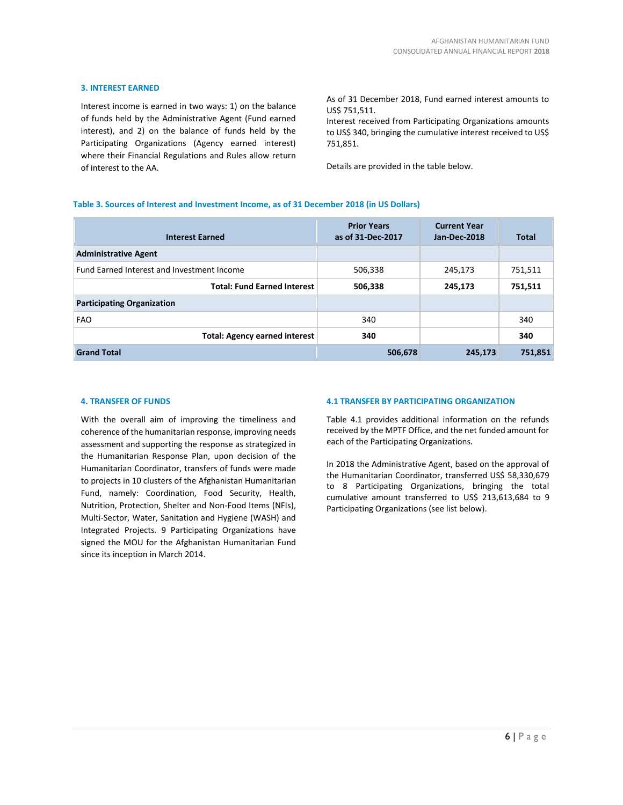## **3. INTEREST EARNED**

Interest income is earned in two ways: 1) on the balance of funds held by the Administrative Agent (Fund earned interest), and 2) on the balance of funds held by the Participating Organizations (Agency earned interest) where their Financial Regulations and Rules allow return of interest to the AA.

As of 31 December 2018, Fund earned interest amounts to US\$ 751,511.

Interest received from Participating Organizations amounts to US\$ 340, bringing the cumulative interest received to US\$ 751,851.

Details are provided in the table below.

## **Table 3. Sources of Interest and Investment Income, as of 31 December 2018 (in US Dollars)**

| <b>Interest Earned</b>                     | <b>Prior Years</b><br>as of 31-Dec-2017 | <b>Current Year</b><br>Jan-Dec-2018 | <b>Total</b> |
|--------------------------------------------|-----------------------------------------|-------------------------------------|--------------|
| <b>Administrative Agent</b>                |                                         |                                     |              |
| Fund Earned Interest and Investment Income | 506,338                                 | 245,173                             | 751,511      |
| <b>Total: Fund Earned Interest</b>         | 506,338                                 | 245,173                             | 751,511      |
| <b>Participating Organization</b>          |                                         |                                     |              |
| <b>FAO</b>                                 | 340                                     |                                     | 340          |
| <b>Total: Agency earned interest</b>       | 340                                     |                                     | 340          |
| <b>Grand Total</b>                         | 506,678                                 | 245,173                             | 751,851      |

#### **4. TRANSFER OF FUNDS**

With the overall aim of improving the timeliness and coherence of the humanitarian response, improving needs assessment and supporting the response as strategized in the Humanitarian Response Plan, upon decision of the Humanitarian Coordinator, transfers of funds were made to projects in 10 clusters of the Afghanistan Humanitarian Fund, namely: Coordination, Food Security, Health, Nutrition, Protection, Shelter and Non-Food Items (NFIs), Multi-Sector, Water, Sanitation and Hygiene (WASH) and Integrated Projects. 9 Participating Organizations have signed the MOU for the Afghanistan Humanitarian Fund since its inception in March 2014.

# **4.1 TRANSFER BY PARTICIPATING ORGANIZATION**

Table 4.1 provides additional information on the refunds received by the MPTF Office, and the net funded amount for each of the Participating Organizations.

In 2018 the Administrative Agent, based on the approval of the Humanitarian Coordinator, transferred US\$ 58,330,679 to 8 Participating Organizations, bringing the total cumulative amount transferred to US\$ 213,613,684 to 9 Participating Organizations (see list below).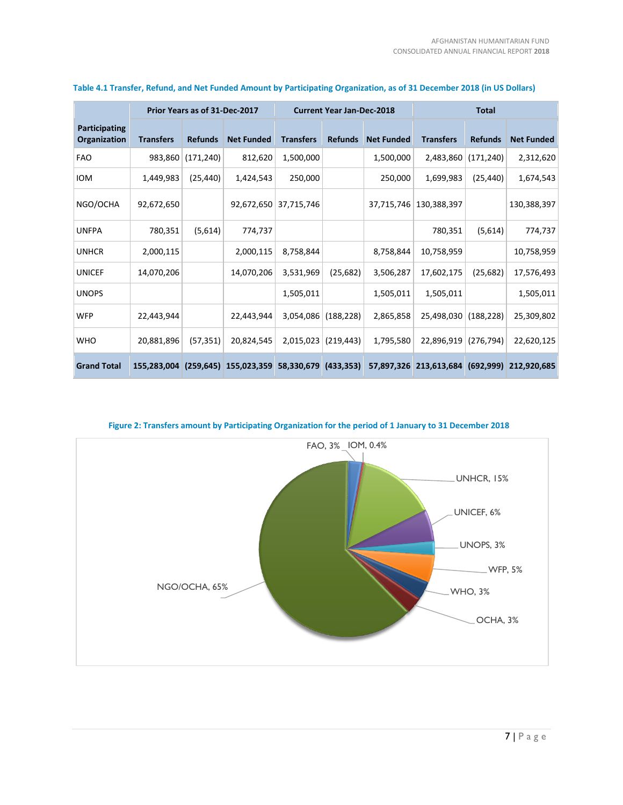|                               |                  | Prior Years as of 31-Dec-2017 |                   |                  | <b>Current Year Jan-Dec-2018</b> |                   |                  | <b>Total</b>   |                   |  |  |
|-------------------------------|------------------|-------------------------------|-------------------|------------------|----------------------------------|-------------------|------------------|----------------|-------------------|--|--|
| Participating<br>Organization | <b>Transfers</b> | <b>Refunds</b>                | <b>Net Funded</b> | <b>Transfers</b> | <b>Refunds</b>                   | <b>Net Funded</b> | <b>Transfers</b> | <b>Refunds</b> | <b>Net Funded</b> |  |  |
| <b>FAO</b>                    | 983,860          | (171, 240)                    | 812,620           | 1,500,000        |                                  | 1,500,000         | 2,483,860        | (171, 240)     | 2,312,620         |  |  |
| <b>IOM</b>                    | 1,449,983        | (25, 440)                     | 1,424,543         | 250,000          |                                  | 250,000           | 1,699,983        | (25,440)       | 1,674,543         |  |  |
| NGO/OCHA                      | 92,672,650       |                               | 92,672,650        | 37,715,746       |                                  | 37,715,746        | 130,388,397      |                | 130,388,397       |  |  |
| <b>UNFPA</b>                  | 780,351          | (5,614)                       | 774,737           |                  |                                  |                   | 780,351          | (5,614)        | 774,737           |  |  |
| <b>UNHCR</b>                  | 2,000,115        |                               | 2,000,115         | 8,758,844        |                                  | 8,758,844         | 10,758,959       |                | 10,758,959        |  |  |
| <b>UNICEF</b>                 | 14,070,206       |                               | 14,070,206        | 3,531,969        | (25, 682)                        | 3,506,287         | 17,602,175       | (25, 682)      | 17,576,493        |  |  |
| <b>UNOPS</b>                  |                  |                               |                   | 1,505,011        |                                  | 1,505,011         | 1,505,011        |                | 1,505,011         |  |  |
| <b>WFP</b>                    | 22,443,944       |                               | 22,443,944        | 3,054,086        | (188, 228)                       | 2,865,858         | 25,498,030       | (188, 228)     | 25,309,802        |  |  |
| <b>WHO</b>                    | 20,881,896       | (57, 351)                     | 20,824,545        | 2,015,023        | (219, 443)                       | 1,795,580         | 22,896,919       | (276, 794)     | 22,620,125        |  |  |
| <b>Grand Total</b>            | 155,283,004      | (259, 645)                    | 155,023,359       | 58,330,679       | (433, 353)                       | 57,897,326        | 213,613,684      | (692, 999)     | 212,920,685       |  |  |

# **Table 4.1 Transfer, Refund, and Net Funded Amount by Participating Organization, as of 31 December 2018 (in US Dollars)**



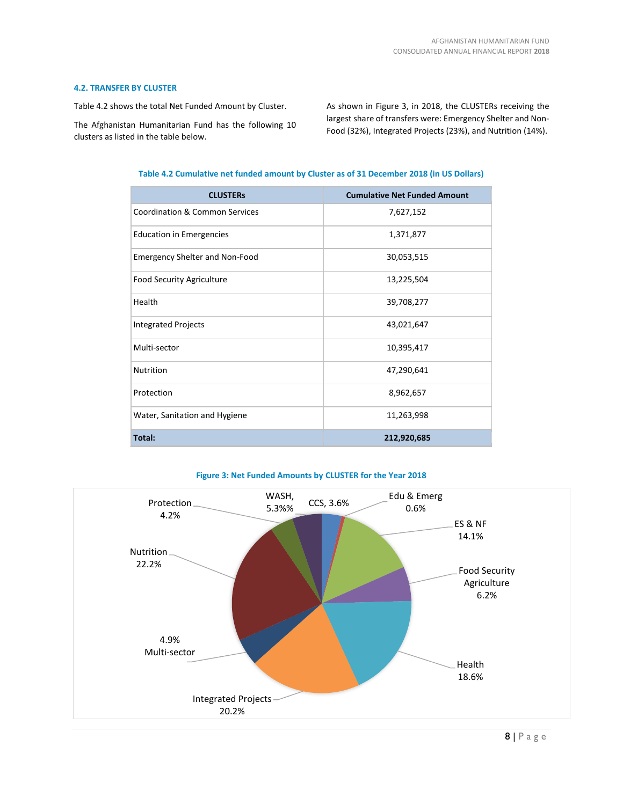## **4.2. TRANSFER BY CLUSTER**

Table 4.2 shows the total Net Funded Amount by Cluster.

The Afghanistan Humanitarian Fund has the following 10 clusters as listed in the table below.

As shown in Figure 3, in 2018, the CLUSTERs receiving the largest share of transfers were: Emergency Shelter and Non-Food (32%), Integrated Projects (23%), and Nutrition (14%).

| Table 4.2 Cumulative net funded amount by Cluster as of 31 December 2018 (in US Dollars) |  |  |  |  |
|------------------------------------------------------------------------------------------|--|--|--|--|
|                                                                                          |  |  |  |  |

| <b>CLUSTERS</b>                           | <b>Cumulative Net Funded Amount</b> |
|-------------------------------------------|-------------------------------------|
| <b>Coordination &amp; Common Services</b> | 7,627,152                           |
| <b>Education in Emergencies</b>           | 1,371,877                           |
| <b>Emergency Shelter and Non-Food</b>     | 30,053,515                          |
| <b>Food Security Agriculture</b>          | 13,225,504                          |
| Health                                    | 39,708,277                          |
| <b>Integrated Projects</b>                | 43,021,647                          |
| Multi-sector                              | 10,395,417                          |
| <b>Nutrition</b>                          | 47,290,641                          |
| Protection                                | 8,962,657                           |
| Water, Sanitation and Hygiene             | 11,263,998                          |
| Total:                                    | 212,920,685                         |



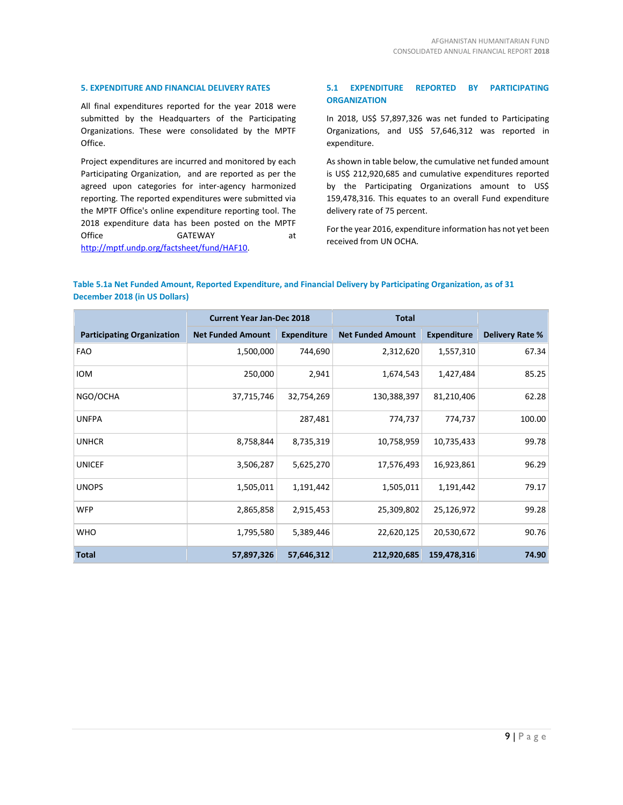## **5. EXPENDITURE AND FINANCIAL DELIVERY RATES**

All final expenditures reported for the year 2018 were submitted by the Headquarters of the Participating Organizations. These were consolidated by the MPTF Office.

Project expenditures are incurred and monitored by each Participating Organization, and are reported as per the agreed upon categories for inter-agency harmonized reporting. The reported expenditures were submitted via the MPTF Office's online expenditure reporting tool. The 2018 expenditure data has been posted on the MPTF Office GATEWAY at [http://mptf.undp.org/factsheet/fund/HAF10.](http://mptf.undp.org/factsheet/fund/HAF10)

# **5.1 EXPENDITURE REPORTED BY PARTICIPATING ORGANIZATION**

In 2018, US\$ 57,897,326 was net funded to Participating Organizations, and US\$ 57,646,312 was reported in expenditure.

As shown in table below, the cumulative net funded amount is US\$ 212,920,685 and cumulative expenditures reported by the Participating Organizations amount to US\$ 159,478,316. This equates to an overall Fund expenditure delivery rate of 75 percent.

For the year 2016, expenditure information has not yet been received from UN OCHA.

# **Table 5.1a Net Funded Amount, Reported Expenditure, and Financial Delivery by Participating Organization, as of 31 December 2018 (in US Dollars)**

|                                   | <b>Current Year Jan-Dec 2018</b> |                    | <b>Total</b>             |                    |                        |
|-----------------------------------|----------------------------------|--------------------|--------------------------|--------------------|------------------------|
| <b>Participating Organization</b> | <b>Net Funded Amount</b>         | <b>Expenditure</b> | <b>Net Funded Amount</b> | <b>Expenditure</b> | <b>Delivery Rate %</b> |
| <b>FAO</b>                        | 1,500,000                        | 744,690            | 2,312,620                | 1,557,310          | 67.34                  |
| <b>IOM</b>                        | 250,000                          | 2,941              | 1,674,543                | 1,427,484          | 85.25                  |
| NGO/OCHA                          | 37,715,746                       | 32,754,269         | 130,388,397              | 81,210,406         | 62.28                  |
| <b>UNFPA</b>                      |                                  | 287,481            | 774,737                  | 774,737            | 100.00                 |
| <b>UNHCR</b>                      | 8,758,844                        | 8,735,319          | 10,758,959               | 10,735,433         | 99.78                  |
| <b>UNICEF</b>                     | 3,506,287                        | 5,625,270          | 17,576,493               | 16,923,861         | 96.29                  |
| <b>UNOPS</b>                      | 1,505,011                        | 1,191,442          | 1,505,011                | 1,191,442          | 79.17                  |
| <b>WFP</b>                        | 2,865,858                        | 2,915,453          | 25,309,802               | 25,126,972         | 99.28                  |
| <b>WHO</b>                        | 1,795,580                        | 5,389,446          | 22,620,125               | 20,530,672         | 90.76                  |
| <b>Total</b>                      | 57,897,326                       | 57,646,312         | 212,920,685              | 159,478,316        | 74.90                  |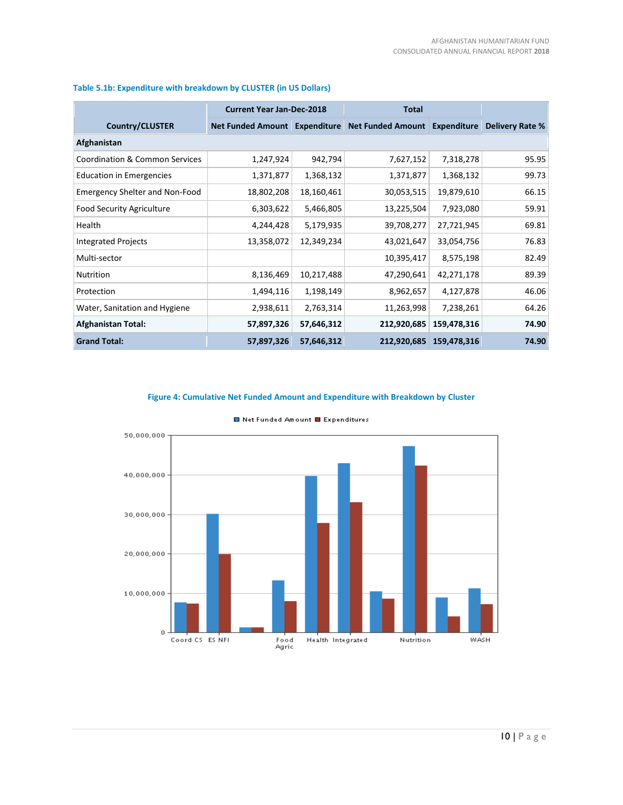|                                           | <b>Current Year Jan-Dec-2018</b> |            | <b>Total</b>                  |             |                 |
|-------------------------------------------|----------------------------------|------------|-------------------------------|-------------|-----------------|
| <b>Country/CLUSTER</b>                    | Net Funded Amount Expenditure    |            | Net Funded Amount Expenditure |             | Delivery Rate % |
| Afghanistan                               |                                  |            |                               |             |                 |
| <b>Coordination &amp; Common Services</b> | 1,247,924                        | 942,794    | 7,627,152                     | 7,318,278   | 95.95           |
| <b>Education in Emergencies</b>           | 1,371,877                        | 1,368,132  | 1,371,877                     | 1,368,132   | 99.73           |
| <b>Emergency Shelter and Non-Food</b>     | 18,802,208                       | 18,160,461 | 30,053,515                    | 19,879,610  | 66.15           |
| <b>Food Security Agriculture</b>          | 6,303,622                        | 5,466,805  | 13,225,504                    | 7,923,080   | 59.91           |
| Health                                    | 4,244,428                        | 5,179,935  | 39,708,277                    | 27,721,945  | 69.81           |
| <b>Integrated Projects</b>                | 13,358,072                       | 12,349,234 | 43,021,647                    | 33,054,756  | 76.83           |
| Multi-sector                              |                                  |            | 10,395,417                    | 8,575,198   | 82.49           |
| <b>Nutrition</b>                          | 8,136,469                        | 10,217,488 | 47,290,641                    | 42,271,178  | 89.39           |
| Protection                                | 1,494,116                        | 1,198,149  | 8,962,657                     | 4,127,878   | 46.06           |
| Water, Sanitation and Hygiene             | 2,938,611                        | 2,763,314  | 11,263,998                    | 7,238,261   | 64.26           |
| <b>Afghanistan Total:</b>                 | 57,897,326                       | 57,646,312 | 212,920,685                   | 159,478,316 | 74.90           |
| <b>Grand Total:</b>                       | 57,897,326                       | 57,646,312 | 212,920,685                   | 159,478,316 | 74.90           |

# **Table 5.1b: Expenditure with breakdown by CLUSTER (in US Dollars)**

# **Figure 4: Cumulative Net Funded Amount and Expenditure with Breakdown by Cluster**



■ Net Funded Amount ■ Expenditures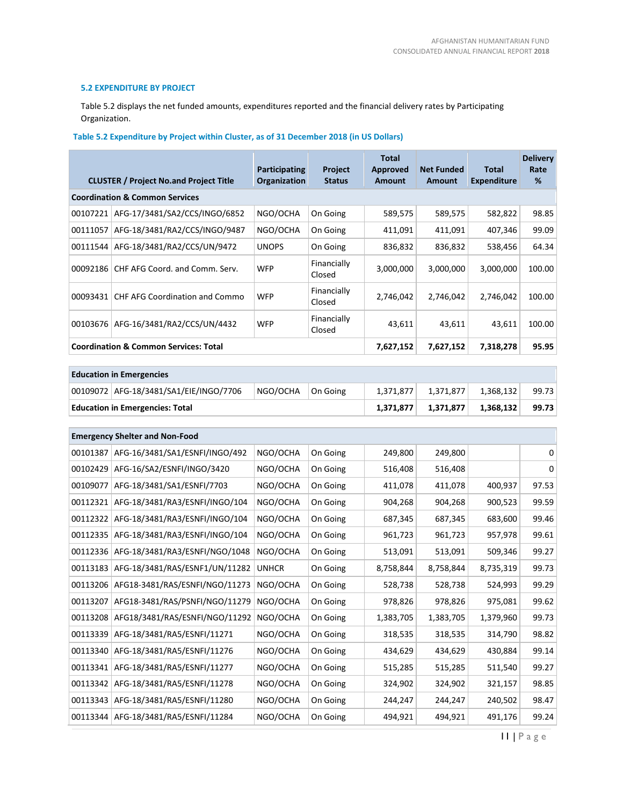# **5.2 EXPENDITURE BY PROJECT**

Table 5.2 displays the net funded amounts, expenditures reported and the financial delivery rates by Participating Organization.

# **Table 5.2 Expenditure by Project within Cluster, as of 31 December 2018 (in US Dollars)**

|          | <b>CLUSTER / Project No.and Project Title</b>    | <b>Participating</b><br>Organization | <b>Project</b><br><b>Status</b> | Total<br><b>Approved</b><br>Amount | <b>Net Funded</b><br><b>Amount</b> | Total<br><b>Expenditure</b> | <b>Delivery</b><br>Rate<br>% |
|----------|--------------------------------------------------|--------------------------------------|---------------------------------|------------------------------------|------------------------------------|-----------------------------|------------------------------|
|          | <b>Coordination &amp; Common Services</b>        |                                      |                                 |                                    |                                    |                             |                              |
| 00107221 | AFG-17/3481/SA2/CCS/INGO/6852                    | NGO/OCHA                             | On Going                        | 589,575                            | 589,575                            | 582,822                     | 98.85                        |
| 00111057 | AFG-18/3481/RA2/CCS/INGO/9487                    | NGO/OCHA                             | On Going                        | 411,091                            | 411,091                            | 407,346                     | 99.09                        |
| 00111544 | AFG-18/3481/RA2/CCS/UN/9472                      | <b>UNOPS</b>                         | On Going                        | 836,832                            | 836,832                            | 538,456                     | 64.34                        |
| 00092186 | CHF AFG Coord. and Comm. Serv.                   | <b>WFP</b>                           | Financially<br>Closed           | 3,000,000                          | 3,000,000                          | 3,000,000                   | 100.00                       |
| 00093431 | <b>CHF AFG Coordination and Commo</b>            | <b>WFP</b>                           | Financially<br>Closed           | 2,746,042                          | 2,746,042                          | 2,746,042                   | 100.00                       |
| 00103676 | AFG-16/3481/RA2/CCS/UN/4432                      | <b>WFP</b>                           | Financially<br>Closed           | 43,611                             | 43,611                             | 43,611                      | 100.00                       |
|          | <b>Coordination &amp; Common Services: Total</b> |                                      |                                 | 7,627,152                          | 7,627,152                          | 7,318,278                   | 95.95                        |

| <b>Education in Emergencies</b> |                                        |              |           |           |           |           |       |  |  |  |  |
|---------------------------------|----------------------------------------|--------------|-----------|-----------|-----------|-----------|-------|--|--|--|--|
|                                 | 00109072 AFG-18/3481/SA1/EIE/INGO/7706 | NGO/OCHA     | On Going  | 1,371,877 | 1,371,877 | 1,368,132 | 99.73 |  |  |  |  |
|                                 | <b>Education in Emergencies: Total</b> |              | 1,371,877 | 1,371,877 | 1,368,132 | 99.73     |       |  |  |  |  |
|                                 |                                        |              |           |           |           |           |       |  |  |  |  |
|                                 | <b>Emergency Shelter and Non-Food</b>  |              |           |           |           |           |       |  |  |  |  |
| 00101387                        | AFG-16/3481/SA1/ESNFI/INGO/492         | NGO/OCHA     | On Going  | 249,800   | 249,800   |           | 0     |  |  |  |  |
| 00102429                        | AFG-16/SA2/ESNFI/INGO/3420             | NGO/OCHA     | On Going  | 516,408   | 516,408   |           | 0     |  |  |  |  |
| 00109077                        | AFG-18/3481/SA1/ESNFI/7703             | NGO/OCHA     | On Going  | 411,078   | 411,078   | 400,937   | 97.53 |  |  |  |  |
| 00112321                        | AFG-18/3481/RA3/ESNFI/INGO/104         | NGO/OCHA     | On Going  | 904,268   | 904,268   | 900,523   | 99.59 |  |  |  |  |
| 00112322                        | AFG-18/3481/RA3/ESNFI/INGO/104         | NGO/OCHA     | On Going  | 687,345   | 687,345   | 683,600   | 99.46 |  |  |  |  |
| 00112335                        | AFG-18/3481/RA3/ESNFI/INGO/104         | NGO/OCHA     | On Going  | 961,723   | 961,723   | 957,978   | 99.61 |  |  |  |  |
| 00112336                        | AFG-18/3481/RA3/ESNFI/NGO/1048         | NGO/OCHA     | On Going  | 513,091   | 513,091   | 509,346   | 99.27 |  |  |  |  |
| 00113183                        | AFG-18/3481/RAS/ESNF1/UN/11282         | <b>UNHCR</b> | On Going  | 8,758,844 | 8,758,844 | 8,735,319 | 99.73 |  |  |  |  |
| 00113206                        | AFG18-3481/RAS/ESNFI/NGO/11273         | NGO/OCHA     | On Going  | 528,738   | 528,738   | 524,993   | 99.29 |  |  |  |  |
| 00113207                        | AFG18-3481/RAS/PSNFI/NGO/11279         | NGO/OCHA     | On Going  | 978,826   | 978,826   | 975,081   | 99.62 |  |  |  |  |
| 00113208                        | AFG18/3481/RAS/ESNFI/NGO/11292         | NGO/OCHA     | On Going  | 1,383,705 | 1,383,705 | 1,379,960 | 99.73 |  |  |  |  |
| 00113339                        | AFG-18/3481/RA5/ESNFI/11271            | NGO/OCHA     | On Going  | 318,535   | 318,535   | 314,790   | 98.82 |  |  |  |  |
| 00113340                        | AFG-18/3481/RA5/ESNFI/11276            | NGO/OCHA     | On Going  | 434,629   | 434,629   | 430,884   | 99.14 |  |  |  |  |
| 00113341                        | AFG-18/3481/RA5/ESNFI/11277            | NGO/OCHA     | On Going  | 515,285   | 515,285   | 511,540   | 99.27 |  |  |  |  |
| 00113342                        | AFG-18/3481/RA5/ESNFI/11278            | NGO/OCHA     | On Going  | 324,902   | 324,902   | 321,157   | 98.85 |  |  |  |  |
| 00113343                        | AFG-18/3481/RA5/ESNFI/11280            | NGO/OCHA     | On Going  | 244,247   | 244,247   | 240,502   | 98.47 |  |  |  |  |
| 00113344                        | AFG-18/3481/RA5/ESNFI/11284            | NGO/OCHA     | On Going  | 494,921   | 494,921   | 491,176   | 99.24 |  |  |  |  |

11 | P a g e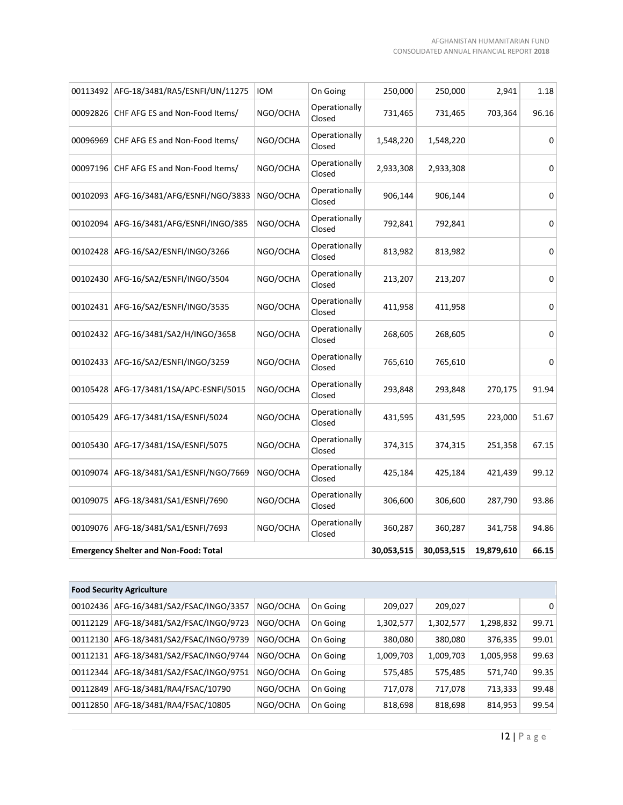|          | 00113492 AFG-18/3481/RA5/ESNFI/UN/11275      | <b>IOM</b> | On Going                | 250,000    | 250,000    | 2,941      | 1.18  |
|----------|----------------------------------------------|------------|-------------------------|------------|------------|------------|-------|
|          | 00092826 CHF AFG ES and Non-Food Items/      | NGO/OCHA   | Operationally<br>Closed | 731,465    | 731,465    | 703,364    | 96.16 |
| 00096969 | CHF AFG ES and Non-Food Items/               | NGO/OCHA   | Operationally<br>Closed | 1,548,220  | 1,548,220  |            | 0     |
|          | 00097196 CHF AFG ES and Non-Food Items/      | NGO/OCHA   | Operationally<br>Closed | 2,933,308  | 2,933,308  |            | 0     |
|          | 00102093 AFG-16/3481/AFG/ESNFI/NGO/3833      | NGO/OCHA   | Operationally<br>Closed | 906,144    | 906,144    |            | 0     |
| 00102094 | AFG-16/3481/AFG/ESNFI/INGO/385               | NGO/OCHA   | Operationally<br>Closed | 792,841    | 792,841    |            | 0     |
|          | 00102428 AFG-16/SA2/ESNFI/INGO/3266          | NGO/OCHA   | Operationally<br>Closed | 813,982    | 813,982    |            | 0     |
|          | 00102430 AFG-16/SA2/ESNFI/INGO/3504          | NGO/OCHA   | Operationally<br>Closed | 213,207    | 213,207    |            | 0     |
|          | 00102431 AFG-16/SA2/ESNFI/INGO/3535          | NGO/OCHA   | Operationally<br>Closed | 411,958    | 411,958    |            | 0     |
|          | 00102432 AFG-16/3481/SA2/H/INGO/3658         | NGO/OCHA   | Operationally<br>Closed | 268,605    | 268,605    |            | 0     |
|          | 00102433 AFG-16/SA2/ESNFI/INGO/3259          | NGO/OCHA   | Operationally<br>Closed | 765,610    | 765,610    |            | 0     |
|          | 00105428 AFG-17/3481/1SA/APC-ESNFI/5015      | NGO/OCHA   | Operationally<br>Closed | 293,848    | 293,848    | 270,175    | 91.94 |
| 00105429 | AFG-17/3481/1SA/ESNFI/5024                   | NGO/OCHA   | Operationally<br>Closed | 431,595    | 431,595    | 223,000    | 51.67 |
|          | 00105430 AFG-17/3481/1SA/ESNFI/5075          | NGO/OCHA   | Operationally<br>Closed | 374,315    | 374,315    | 251,358    | 67.15 |
| 00109074 | AFG-18/3481/SA1/ESNFI/NGO/7669               | NGO/OCHA   | Operationally<br>Closed | 425,184    | 425,184    | 421,439    | 99.12 |
|          | 00109075 AFG-18/3481/SA1/ESNFI/7690          | NGO/OCHA   | Operationally<br>Closed | 306,600    | 306,600    | 287,790    | 93.86 |
|          | 00109076 AFG-18/3481/SA1/ESNFI/7693          | NGO/OCHA   | Operationally<br>Closed | 360,287    | 360,287    | 341,758    | 94.86 |
|          | <b>Emergency Shelter and Non-Food: Total</b> |            |                         | 30,053,515 | 30,053,515 | 19,879,610 | 66.15 |

|          | <b>Food Security Agriculture</b> |          |          |           |           |           |                |
|----------|----------------------------------|----------|----------|-----------|-----------|-----------|----------------|
| 00102436 | AFG-16/3481/SA2/FSAC/INGO/3357   | NGO/OCHA | On Going | 209,027   | 209,027   |           | 0 <sup>1</sup> |
| 00112129 | AFG-18/3481/SA2/FSAC/INGO/9723   | NGO/OCHA | On Going | 1,302,577 | 1,302,577 | 1,298,832 | 99.71          |
| 00112130 | AFG-18/3481/SA2/FSAC/INGO/9739   | NGO/OCHA | On Going | 380,080   | 380,080   | 376,335   | 99.01          |
| 00112131 | AFG-18/3481/SA2/FSAC/INGO/9744   | NGO/OCHA | On Going | 1,009,703 | 1,009,703 | 1,005,958 | 99.63          |
| 00112344 | AFG-18/3481/SA2/FSAC/INGO/9751   | NGO/OCHA | On Going | 575,485   | 575,485   | 571,740   | 99.35          |
| 00112849 | AFG-18/3481/RA4/FSAC/10790       | NGO/OCHA | On Going | 717,078   | 717,078   | 713,333   | 99.48          |
| 00112850 | AFG-18/3481/RA4/FSAC/10805       | NGO/OCHA | On Going | 818,698   | 818,698   | 814,953   | 99.54          |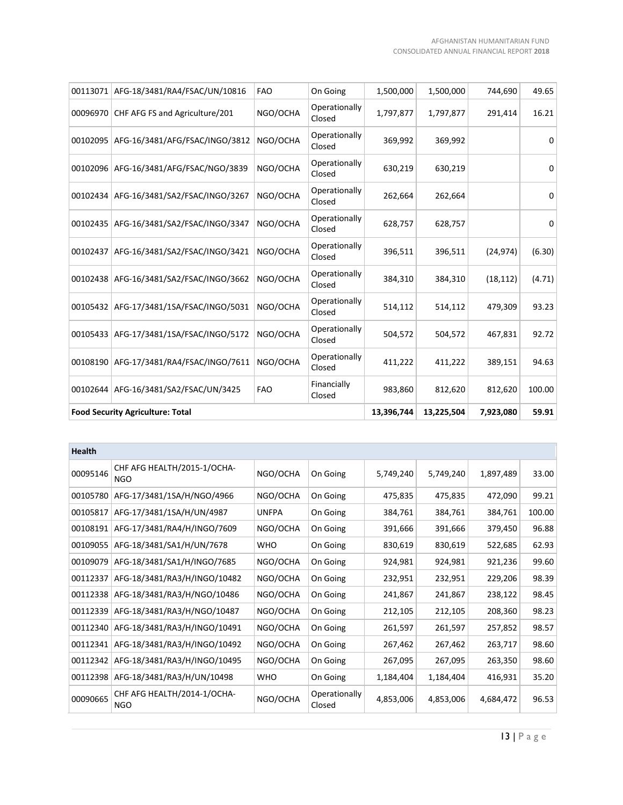| 00113071 | AFG-18/3481/RA4/FSAC/UN/10816           | <b>FAO</b> | On Going                | 1,500,000  | 1,500,000  | 744,690   | 49.65  |
|----------|-----------------------------------------|------------|-------------------------|------------|------------|-----------|--------|
| 00096970 | CHF AFG FS and Agriculture/201          | NGO/OCHA   | Operationally<br>Closed | 1,797,877  | 1,797,877  | 291,414   | 16.21  |
| 00102095 | AFG-16/3481/AFG/FSAC/INGO/3812          | NGO/OCHA   | Operationally<br>Closed | 369,992    | 369,992    |           | 0      |
| 00102096 | AFG-16/3481/AFG/FSAC/NGO/3839           | NGO/OCHA   | Operationally<br>Closed | 630,219    | 630,219    |           | 0      |
| 00102434 | AFG-16/3481/SA2/FSAC/INGO/3267          | NGO/OCHA   | Operationally<br>Closed | 262,664    | 262,664    |           | 0      |
| 00102435 | AFG-16/3481/SA2/FSAC/INGO/3347          | NGO/OCHA   | Operationally<br>Closed | 628,757    | 628,757    |           | 0      |
| 00102437 | AFG-16/3481/SA2/FSAC/INGO/3421          | NGO/OCHA   | Operationally<br>Closed | 396,511    | 396,511    | (24, 974) | (6.30) |
|          | 00102438 AFG-16/3481/SA2/FSAC/INGO/3662 | NGO/OCHA   | Operationally<br>Closed | 384,310    | 384,310    | (18, 112) | (4.71) |
|          | 00105432 AFG-17/3481/1SA/FSAC/INGO/5031 | NGO/OCHA   | Operationally<br>Closed | 514,112    | 514,112    | 479,309   | 93.23  |
| 00105433 | AFG-17/3481/1SA/FSAC/INGO/5172          | NGO/OCHA   | Operationally<br>Closed | 504,572    | 504,572    | 467,831   | 92.72  |
| 00108190 | AFG-17/3481/RA4/FSAC/INGO/7611          | NGO/OCHA   | Operationally<br>Closed | 411,222    | 411,222    | 389,151   | 94.63  |
| 00102644 | AFG-16/3481/SA2/FSAC/UN/3425            | <b>FAO</b> | Financially<br>Closed   | 983,860    | 812,620    | 812,620   | 100.00 |
|          | <b>Food Security Agriculture: Total</b> |            |                         | 13,396,744 | 13,225,504 | 7,923,080 | 59.91  |

| Health   |                                           |              |                         |           |           |           |        |
|----------|-------------------------------------------|--------------|-------------------------|-----------|-----------|-----------|--------|
| 00095146 | CHF AFG HEALTH/2015-1/OCHA-<br><b>NGO</b> | NGO/OCHA     | On Going                | 5,749,240 | 5,749,240 | 1,897,489 | 33.00  |
| 00105780 | AFG-17/3481/1SA/H/NGO/4966                | NGO/OCHA     | On Going                | 475,835   | 475,835   | 472,090   | 99.21  |
| 00105817 | AFG-17/3481/1SA/H/UN/4987                 | <b>UNFPA</b> | On Going                | 384,761   | 384,761   | 384,761   | 100.00 |
| 00108191 | AFG-17/3481/RA4/H/INGO/7609               | NGO/OCHA     | On Going                | 391,666   | 391,666   | 379,450   | 96.88  |
| 00109055 | AFG-18/3481/SA1/H/UN/7678                 | <b>WHO</b>   | On Going                | 830,619   | 830,619   | 522,685   | 62.93  |
| 00109079 | AFG-18/3481/SA1/H/INGO/7685               | NGO/OCHA     | On Going                | 924,981   | 924,981   | 921,236   | 99.60  |
| 00112337 | AFG-18/3481/RA3/H/INGO/10482              | NGO/OCHA     | On Going                | 232,951   | 232,951   | 229,206   | 98.39  |
| 00112338 | AFG-18/3481/RA3/H/NGO/10486               | NGO/OCHA     | On Going                | 241,867   | 241,867   | 238,122   | 98.45  |
| 00112339 | AFG-18/3481/RA3/H/NGO/10487               | NGO/OCHA     | On Going                | 212,105   | 212,105   | 208,360   | 98.23  |
| 00112340 | AFG-18/3481/RA3/H/INGO/10491              | NGO/OCHA     | On Going                | 261,597   | 261,597   | 257,852   | 98.57  |
| 00112341 | AFG-18/3481/RA3/H/INGO/10492              | NGO/OCHA     | On Going                | 267,462   | 267,462   | 263,717   | 98.60  |
| 00112342 | AFG-18/3481/RA3/H/INGO/10495              | NGO/OCHA     | On Going                | 267,095   | 267,095   | 263,350   | 98.60  |
| 00112398 | AFG-18/3481/RA3/H/UN/10498                | <b>WHO</b>   | On Going                | 1,184,404 | 1,184,404 | 416,931   | 35.20  |
| 00090665 | CHF AFG HEALTH/2014-1/OCHA-<br><b>NGO</b> | NGO/OCHA     | Operationally<br>Closed | 4,853,006 | 4,853,006 | 4,684,472 | 96.53  |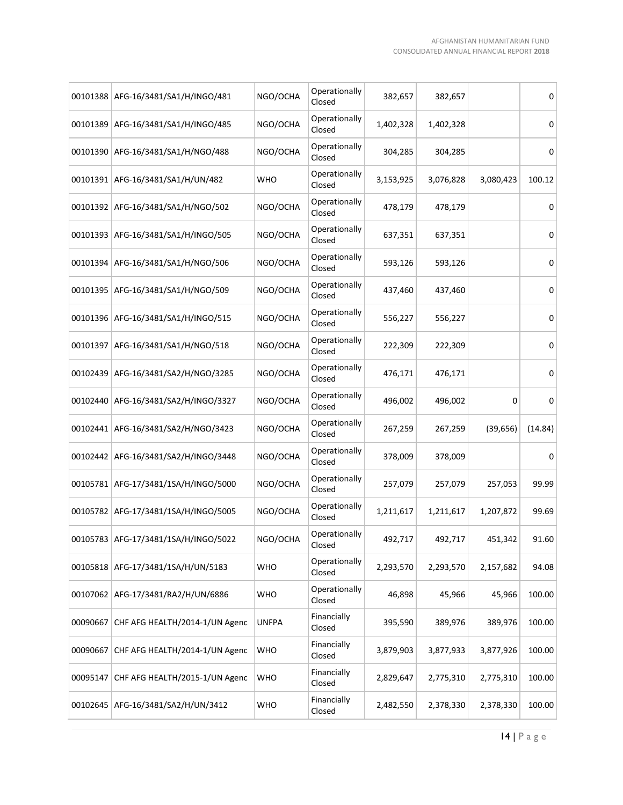|          | 00101388 AFG-16/3481/SA1/H/INGO/481     | NGO/OCHA     | Operationally<br>Closed | 382,657   | 382,657   |           | 0       |
|----------|-----------------------------------------|--------------|-------------------------|-----------|-----------|-----------|---------|
| 00101389 | AFG-16/3481/SA1/H/INGO/485              | NGO/OCHA     | Operationally<br>Closed | 1,402,328 | 1,402,328 |           | 0       |
|          | 00101390 AFG-16/3481/SA1/H/NGO/488      | NGO/OCHA     | Operationally<br>Closed | 304,285   | 304,285   |           | 0       |
|          | 00101391   AFG-16/3481/SA1/H/UN/482     | <b>WHO</b>   | Operationally<br>Closed | 3,153,925 | 3,076,828 | 3,080,423 | 100.12  |
|          | 00101392 AFG-16/3481/SA1/H/NGO/502      | NGO/OCHA     | Operationally<br>Closed | 478,179   | 478,179   |           | 0       |
|          | 00101393 AFG-16/3481/SA1/H/INGO/505     | NGO/OCHA     | Operationally<br>Closed | 637,351   | 637,351   |           | 0       |
|          | 00101394 AFG-16/3481/SA1/H/NGO/506      | NGO/OCHA     | Operationally<br>Closed | 593,126   | 593,126   |           | 0       |
| 00101395 | AFG-16/3481/SA1/H/NGO/509               | NGO/OCHA     | Operationally<br>Closed | 437,460   | 437,460   |           | 0       |
|          | 00101396 AFG-16/3481/SA1/H/INGO/515     | NGO/OCHA     | Operationally<br>Closed | 556,227   | 556,227   |           | 0       |
| 00101397 | AFG-16/3481/SA1/H/NGO/518               | NGO/OCHA     | Operationally<br>Closed | 222,309   | 222,309   |           | 0       |
| 00102439 | AFG-16/3481/SA2/H/NGO/3285              | NGO/OCHA     | Operationally<br>Closed | 476,171   | 476,171   |           | 0       |
| 00102440 | AFG-16/3481/SA2/H/INGO/3327             | NGO/OCHA     | Operationally<br>Closed | 496,002   | 496,002   | 0         | 0       |
| 00102441 | AFG-16/3481/SA2/H/NGO/3423              | NGO/OCHA     | Operationally<br>Closed | 267,259   | 267,259   | (39, 656) | (14.84) |
| 00102442 | AFG-16/3481/SA2/H/INGO/3448             | NGO/OCHA     | Operationally<br>Closed | 378,009   | 378,009   |           | 0       |
| 00105781 | AFG-17/3481/1SA/H/INGO/5000             | NGO/OCHA     | Operationally<br>Closed | 257,079   | 257,079   | 257,053   | 99.99   |
| 00105782 | AFG-17/3481/1SA/H/INGO/5005             | NGO/OCHA     | Operationally<br>Closed | 1,211,617 | 1,211,617 | 1,207,872 | 99.69   |
|          | 00105783 AFG-17/3481/1SA/H/INGO/5022    | NGO/OCHA     | Operationally<br>Closed | 492,717   | 492,717   | 451,342   | 91.60   |
|          | 00105818 AFG-17/3481/1SA/H/UN/5183      | <b>WHO</b>   | Operationally<br>Closed | 2,293,570 | 2,293,570 | 2,157,682 | 94.08   |
|          | 00107062 AFG-17/3481/RA2/H/UN/6886      | <b>WHO</b>   | Operationally<br>Closed | 46,898    | 45,966    | 45,966    | 100.00  |
|          | 00090667 CHF AFG HEALTH/2014-1/UN Agenc | <b>UNFPA</b> | Financially<br>Closed   | 395,590   | 389,976   | 389,976   | 100.00  |
| 00090667 | CHF AFG HEALTH/2014-1/UN Agenc          | <b>WHO</b>   | Financially<br>Closed   | 3,879,903 | 3,877,933 | 3,877,926 | 100.00  |
| 00095147 | CHF AFG HEALTH/2015-1/UN Agenc          | <b>WHO</b>   | Financially<br>Closed   | 2,829,647 | 2,775,310 | 2,775,310 | 100.00  |
|          | 00102645 AFG-16/3481/SA2/H/UN/3412      | <b>WHO</b>   | Financially<br>Closed   | 2,482,550 | 2,378,330 | 2,378,330 | 100.00  |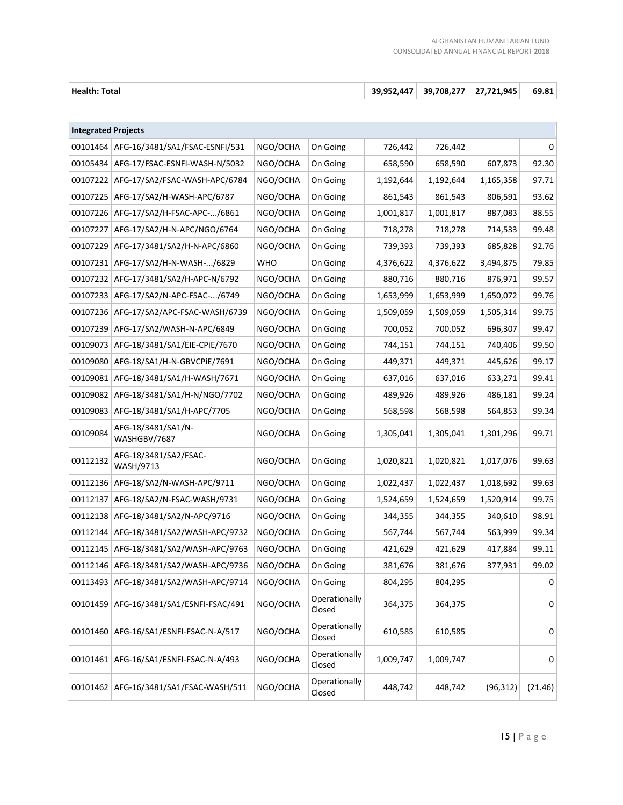| Health: Total | 39.952.447 | 39.708.277 | 27.721.945 | 69.81 |
|---------------|------------|------------|------------|-------|
|               |            |            |            |       |

| <b>Integrated Projects</b> |                                    |            |                         |           |           |           |         |
|----------------------------|------------------------------------|------------|-------------------------|-----------|-----------|-----------|---------|
| 00101464                   | AFG-16/3481/SA1/FSAC-ESNFI/531     | NGO/OCHA   | On Going                | 726,442   | 726,442   |           | 0       |
| 00105434                   | AFG-17/FSAC-ESNFI-WASH-N/5032      | NGO/OCHA   | On Going                | 658,590   | 658,590   | 607,873   | 92.30   |
| 00107222                   | AFG-17/SA2/FSAC-WASH-APC/6784      | NGO/OCHA   | On Going                | 1,192,644 | 1,192,644 | 1,165,358 | 97.71   |
| 00107225                   | AFG-17/SA2/H-WASH-APC/6787         | NGO/OCHA   | On Going                | 861,543   | 861,543   | 806,591   | 93.62   |
| 00107226                   | AFG-17/SA2/H-FSAC-APC-/6861        | NGO/OCHA   | On Going                | 1,001,817 | 1,001,817 | 887,083   | 88.55   |
| 00107227                   | AFG-17/SA2/H-N-APC/NGO/6764        | NGO/OCHA   | On Going                | 718,278   | 718,278   | 714,533   | 99.48   |
| 00107229                   | AFG-17/3481/SA2/H-N-APC/6860       | NGO/OCHA   | On Going                | 739,393   | 739,393   | 685,828   | 92.76   |
| 00107231                   | AFG-17/SA2/H-N-WASH-/6829          | <b>WHO</b> | On Going                | 4,376,622 | 4,376,622 | 3,494,875 | 79.85   |
| 00107232                   | AFG-17/3481/SA2/H-APC-N/6792       | NGO/OCHA   | On Going                | 880,716   | 880,716   | 876,971   | 99.57   |
| 00107233                   | AFG-17/SA2/N-APC-FSAC-/6749        | NGO/OCHA   | On Going                | 1,653,999 | 1,653,999 | 1,650,072 | 99.76   |
| 00107236                   | AFG-17/SA2/APC-FSAC-WASH/6739      | NGO/OCHA   | On Going                | 1,509,059 | 1,509,059 | 1,505,314 | 99.75   |
| 00107239                   | AFG-17/SA2/WASH-N-APC/6849         | NGO/OCHA   | On Going                | 700,052   | 700,052   | 696,307   | 99.47   |
| 00109073                   | AFG-18/3481/SA1/EIE-CPiE/7670      | NGO/OCHA   | On Going                | 744,151   | 744,151   | 740,406   | 99.50   |
| 00109080                   | AFG-18/SA1/H-N-GBVCPiE/7691        | NGO/OCHA   | On Going                | 449,371   | 449,371   | 445,626   | 99.17   |
| 00109081                   | AFG-18/3481/SA1/H-WASH/7671        | NGO/OCHA   | On Going                | 637,016   | 637,016   | 633,271   | 99.41   |
| 00109082                   | AFG-18/3481/SA1/H-N/NGO/7702       | NGO/OCHA   | On Going                | 489,926   | 489,926   | 486,181   | 99.24   |
| 00109083                   | AFG-18/3481/SA1/H-APC/7705         | NGO/OCHA   | On Going                | 568,598   | 568,598   | 564,853   | 99.34   |
| 00109084                   | AFG-18/3481/SA1/N-<br>WASHGBV/7687 | NGO/OCHA   | On Going                | 1,305,041 | 1,305,041 | 1,301,296 | 99.71   |
| 00112132                   | AFG-18/3481/SA2/FSAC-<br>WASH/9713 | NGO/OCHA   | On Going                | 1,020,821 | 1,020,821 | 1,017,076 | 99.63   |
| 00112136                   | AFG-18/SA2/N-WASH-APC/9711         | NGO/OCHA   | On Going                | 1,022,437 | 1,022,437 | 1,018,692 | 99.63   |
| 00112137                   | AFG-18/SA2/N-FSAC-WASH/9731        | NGO/OCHA   | On Going                | 1,524,659 | 1,524,659 | 1,520,914 | 99.75   |
| 00112138                   | AFG-18/3481/SA2/N-APC/9716         | NGO/OCHA   | On Going                | 344,355   | 344,355   | 340,610   | 98.91   |
| 00112144                   | AFG-18/3481/SA2/WASH-APC/9732      | NGO/OCHA   | On Going                | 567,744   | 567,744   | 563,999   | 99.34   |
| 00112145                   | AFG-18/3481/SA2/WASH-APC/9763      | NGO/OCHA   | On Going                | 421,629   | 421,629   | 417,884   | 99.11   |
| 00112146                   | AFG-18/3481/SA2/WASH-APC/9736      | NGO/OCHA   | On Going                | 381,676   | 381,676   | 377,931   | 99.02   |
| 00113493                   | AFG-18/3481/SA2/WASH-APC/9714      | NGO/OCHA   | On Going                | 804,295   | 804,295   |           | 0       |
| 00101459                   | AFG-16/3481/SA1/ESNFI-FSAC/491     | NGO/OCHA   | Operationally<br>Closed | 364,375   | 364,375   |           | 0       |
| 00101460                   | AFG-16/SA1/ESNFI-FSAC-N-A/517      | NGO/OCHA   | Operationally<br>Closed | 610,585   | 610,585   |           | 0       |
| 00101461                   | AFG-16/SA1/ESNFI-FSAC-N-A/493      | NGO/OCHA   | Operationally<br>Closed | 1,009,747 | 1,009,747 |           | 0       |
| 00101462                   | AFG-16/3481/SA1/FSAC-WASH/511      | NGO/OCHA   | Operationally<br>Closed | 448,742   | 448,742   | (96, 312) | (21.46) |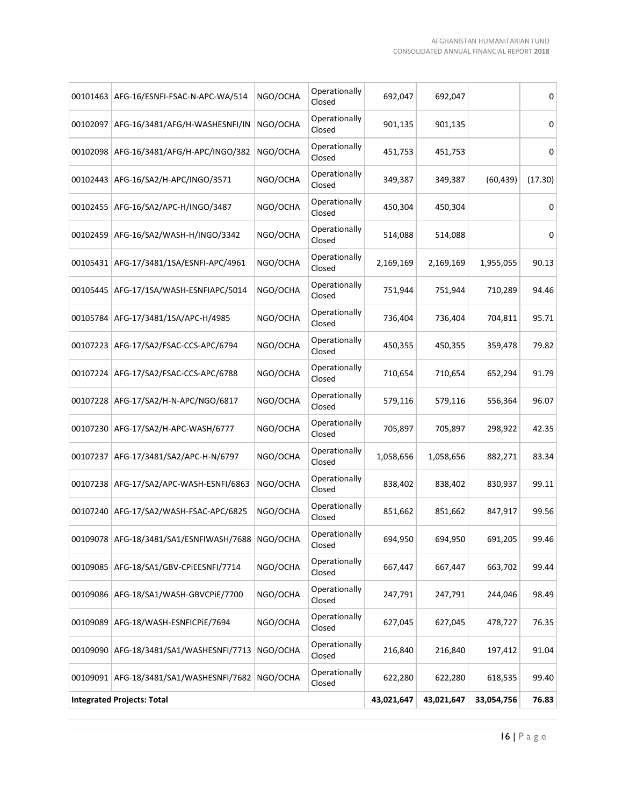| 00101463 | AFG-16/ESNFI-FSAC-N-APC-WA/514                       | NGO/OCHA | Operationally<br>Closed | 692,047    | 692,047    |            | 0       |
|----------|------------------------------------------------------|----------|-------------------------|------------|------------|------------|---------|
| 00102097 | AFG-16/3481/AFG/H-WASHESNFI/IN                       | NGO/OCHA | Operationally<br>Closed | 901,135    | 901,135    |            | 0       |
| 00102098 | AFG-16/3481/AFG/H-APC/INGO/382                       | NGO/OCHA | Operationally<br>Closed | 451,753    | 451,753    |            | 0       |
| 00102443 | AFG-16/SA2/H-APC/INGO/3571                           | NGO/OCHA | Operationally<br>Closed | 349,387    | 349,387    | (60, 439)  | (17.30) |
| 00102455 | AFG-16/SA2/APC-H/INGO/3487                           | NGO/OCHA | Operationally<br>Closed | 450,304    | 450,304    |            | 0       |
| 00102459 | AFG-16/SA2/WASH-H/INGO/3342                          | NGO/OCHA | Operationally<br>Closed | 514,088    | 514,088    |            | 0       |
|          | 00105431   AFG-17/3481/1SA/ESNFI-APC/4961            | NGO/OCHA | Operationally<br>Closed | 2,169,169  | 2,169,169  | 1,955,055  | 90.13   |
| 00105445 | AFG-17/1SA/WASH-ESNFIAPC/5014                        | NGO/OCHA | Operationally<br>Closed | 751,944    | 751,944    | 710,289    | 94.46   |
| 00105784 | AFG-17/3481/1SA/APC-H/4985                           | NGO/OCHA | Operationally<br>Closed | 736,404    | 736,404    | 704,811    | 95.71   |
| 00107223 | AFG-17/SA2/FSAC-CCS-APC/6794                         | NGO/OCHA | Operationally<br>Closed | 450,355    | 450,355    | 359,478    | 79.82   |
| 00107224 | AFG-17/SA2/FSAC-CCS-APC/6788                         | NGO/OCHA | Operationally<br>Closed | 710,654    | 710,654    | 652,294    | 91.79   |
| 00107228 | AFG-17/SA2/H-N-APC/NGO/6817                          | NGO/OCHA | Operationally<br>Closed | 579,116    | 579,116    | 556,364    | 96.07   |
| 00107230 | AFG-17/SA2/H-APC-WASH/6777                           | NGO/OCHA | Operationally<br>Closed | 705,897    | 705,897    | 298,922    | 42.35   |
| 00107237 | AFG-17/3481/SA2/APC-H-N/6797                         | NGO/OCHA | Operationally<br>Closed | 1,058,656  | 1,058,656  | 882,271    | 83.34   |
| 00107238 | AFG-17/SA2/APC-WASH-ESNFI/6863                       | NGO/OCHA | Operationally<br>Closed | 838,402    | 838,402    | 830,937    | 99.11   |
| 00107240 | AFG-17/SA2/WASH-FSAC-APC/6825                        | NGO/OCHA | Operationally<br>Closed | 851,662    | 851,662    | 847,917    | 99.56   |
|          | 00109078   AFG-18/3481/SA1/ESNFIWASH/7688   NGO/OCHA |          | Operationally<br>Closed | 694,950    | 694,950    | 691,205    | 99.46   |
| 00109085 | AFG-18/SA1/GBV-CPIEESNFI/7714                        | NGO/OCHA | Operationally<br>Closed | 667,447    | 667,447    | 663,702    | 99.44   |
| 00109086 | AFG-18/SA1/WASH-GBVCPiE/7700                         | NGO/OCHA | Operationally<br>Closed | 247,791    | 247,791    | 244,046    | 98.49   |
| 00109089 | AFG-18/WASH-ESNFICPIE/7694                           | NGO/OCHA | Operationally<br>Closed | 627,045    | 627,045    | 478,727    | 76.35   |
| 00109090 | AFG-18/3481/SA1/WASHESNFI/7713                       | NGO/OCHA | Operationally<br>Closed | 216,840    | 216,840    | 197,412    | 91.04   |
| 00109091 | AFG-18/3481/SA1/WASHESNFI/7682                       | NGO/OCHA | Operationally<br>Closed | 622,280    | 622,280    | 618,535    | 99.40   |
|          | <b>Integrated Projects: Total</b>                    |          |                         | 43,021,647 | 43,021,647 | 33,054,756 | 76.83   |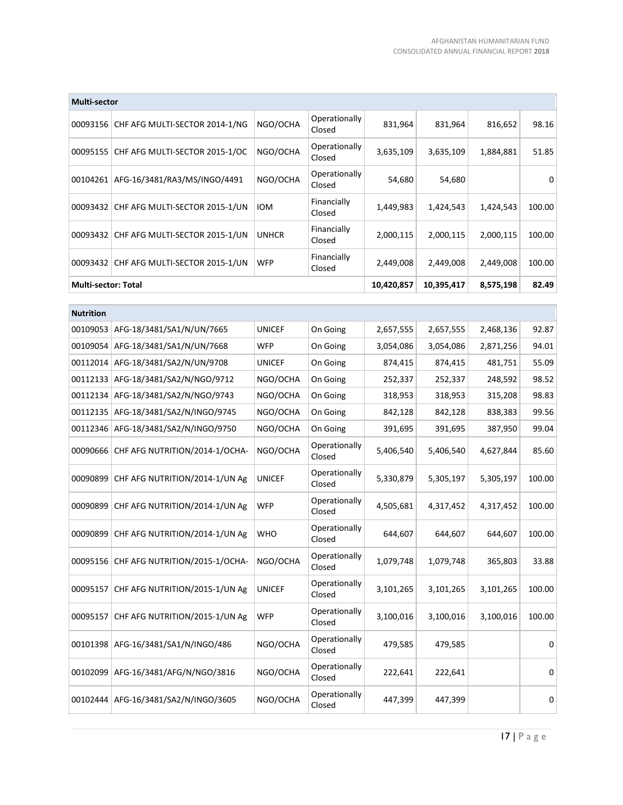| <b>Multi-sector</b>        |                                |              |                         |            |            |           |        |
|----------------------------|--------------------------------|--------------|-------------------------|------------|------------|-----------|--------|
| 00093156                   | CHF AFG MULTI-SECTOR 2014-1/NG | NGO/OCHA     | Operationally<br>Closed | 831,964    | 831,964    | 816,652   | 98.16  |
| 00095155                   | CHF AFG MULTI-SECTOR 2015-1/OC | NGO/OCHA     | Operationally<br>Closed | 3,635,109  | 3,635,109  | 1,884,881 | 51.85  |
| 00104261                   | AFG-16/3481/RA3/MS/INGO/4491   | NGO/OCHA     | Operationally<br>Closed | 54,680     | 54,680     |           | 0      |
| 00093432                   | CHF AFG MULTI-SECTOR 2015-1/UN | <b>IOM</b>   | Financially<br>Closed   | 1,449,983  | 1,424,543  | 1,424,543 | 100.00 |
| 00093432                   | CHF AFG MULTI-SECTOR 2015-1/UN | <b>UNHCR</b> | Financially<br>Closed   | 2,000,115  | 2,000,115  | 2,000,115 | 100.00 |
| 00093432                   | CHF AFG MULTI-SECTOR 2015-1/UN | <b>WFP</b>   | Financially<br>Closed   | 2,449,008  | 2,449,008  | 2,449,008 | 100.00 |
| <b>Multi-sector: Total</b> |                                |              |                         | 10,420,857 | 10,395,417 | 8,575,198 | 82.49  |
|                            |                                |              |                         |            |            |           |        |

| <b>Nutrition</b> |                                |               |                         |           |           |           |        |
|------------------|--------------------------------|---------------|-------------------------|-----------|-----------|-----------|--------|
| 00109053         | AFG-18/3481/SA1/N/UN/7665      | <b>UNICEF</b> | On Going                | 2,657,555 | 2,657,555 | 2,468,136 | 92.87  |
| 00109054         | AFG-18/3481/SA1/N/UN/7668      | <b>WFP</b>    | On Going                | 3,054,086 | 3,054,086 | 2,871,256 | 94.01  |
| 00112014         | AFG-18/3481/SA2/N/UN/9708      | <b>UNICEF</b> | On Going                | 874,415   | 874,415   | 481,751   | 55.09  |
| 00112133         | AFG-18/3481/SA2/N/NGO/9712     | NGO/OCHA      | On Going                | 252,337   | 252,337   | 248,592   | 98.52  |
| 00112134         | AFG-18/3481/SA2/N/NGO/9743     | NGO/OCHA      | On Going                | 318,953   | 318,953   | 315,208   | 98.83  |
| 00112135         | AFG-18/3481/SA2/N/INGO/9745    | NGO/OCHA      | On Going                | 842,128   | 842,128   | 838,383   | 99.56  |
| 00112346         | AFG-18/3481/SA2/N/INGO/9750    | NGO/OCHA      | On Going                | 391,695   | 391,695   | 387,950   | 99.04  |
| 00090666         | CHF AFG NUTRITION/2014-1/OCHA- | NGO/OCHA      | Operationally<br>Closed | 5,406,540 | 5,406,540 | 4,627,844 | 85.60  |
| 00090899         | CHF AFG NUTRITION/2014-1/UN Ag | <b>UNICEF</b> | Operationally<br>Closed | 5,330,879 | 5,305,197 | 5,305,197 | 100.00 |
| 00090899         | CHF AFG NUTRITION/2014-1/UN Ag | <b>WFP</b>    | Operationally<br>Closed | 4,505,681 | 4,317,452 | 4,317,452 | 100.00 |
| 00090899         | CHF AFG NUTRITION/2014-1/UN Ag | <b>WHO</b>    | Operationally<br>Closed | 644,607   | 644,607   | 644,607   | 100.00 |
| 00095156         | CHF AFG NUTRITION/2015-1/OCHA- | NGO/OCHA      | Operationally<br>Closed | 1,079,748 | 1,079,748 | 365,803   | 33.88  |
| 00095157         | CHF AFG NUTRITION/2015-1/UN Ag | <b>UNICEF</b> | Operationally<br>Closed | 3,101,265 | 3,101,265 | 3,101,265 | 100.00 |
| 00095157         | CHF AFG NUTRITION/2015-1/UN Ag | <b>WFP</b>    | Operationally<br>Closed | 3,100,016 | 3,100,016 | 3,100,016 | 100.00 |
| 00101398         | AFG-16/3481/SA1/N/INGO/486     | NGO/OCHA      | Operationally<br>Closed | 479,585   | 479,585   |           | 0      |
| 00102099         | AFG-16/3481/AFG/N/NGO/3816     | NGO/OCHA      | Operationally<br>Closed | 222,641   | 222,641   |           | 0      |
| 00102444         | AFG-16/3481/SA2/N/INGO/3605    | NGO/OCHA      | Operationally<br>Closed | 447,399   | 447,399   |           | 0      |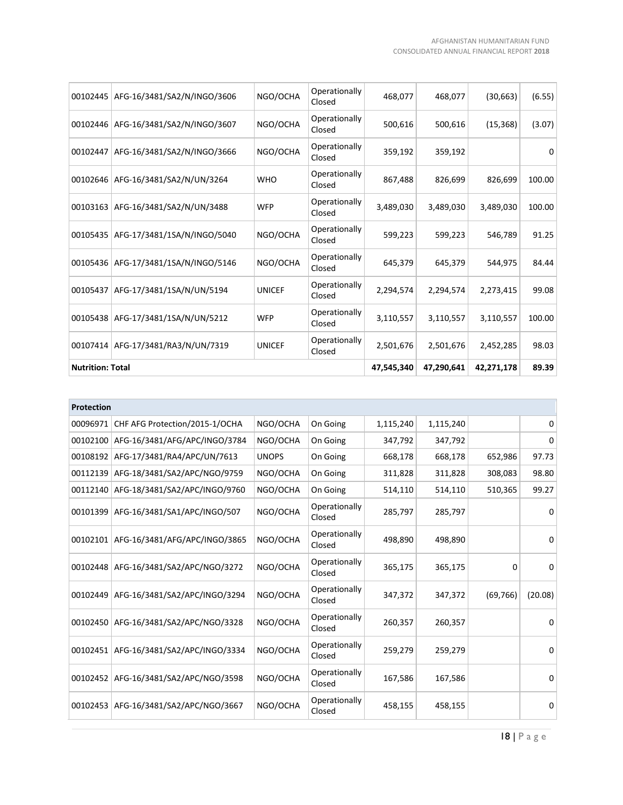| 00102445 | AFG-16/3481/SA2/N/INGO/3606 | NGO/OCHA      | Operationally<br>Closed | 468,077   | 468,077    | (30, 663)  | (6.55) |
|----------|-----------------------------|---------------|-------------------------|-----------|------------|------------|--------|
| 00102446 | AFG-16/3481/SA2/N/INGO/3607 | NGO/OCHA      | Operationally<br>Closed | 500,616   | 500,616    | (15, 368)  | (3.07) |
| 00102447 | AFG-16/3481/SA2/N/INGO/3666 | NGO/OCHA      | Operationally<br>Closed | 359,192   | 359,192    |            | 0      |
| 00102646 | AFG-16/3481/SA2/N/UN/3264   | <b>WHO</b>    | Operationally<br>Closed | 867,488   | 826,699    | 826,699    | 100.00 |
| 00103163 | AFG-16/3481/SA2/N/UN/3488   | <b>WFP</b>    | Operationally<br>Closed | 3,489,030 | 3,489,030  | 3,489,030  | 100.00 |
| 00105435 | AFG-17/3481/1SA/N/INGO/5040 | NGO/OCHA      | Operationally<br>Closed | 599,223   | 599,223    | 546,789    | 91.25  |
| 00105436 | AFG-17/3481/1SA/N/INGO/5146 | NGO/OCHA      | Operationally<br>Closed | 645,379   | 645,379    | 544,975    | 84.44  |
| 00105437 | AFG-17/3481/1SA/N/UN/5194   | <b>UNICEF</b> | Operationally<br>Closed | 2,294,574 | 2,294,574  | 2,273,415  | 99.08  |
| 00105438 | AFG-17/3481/1SA/N/UN/5212   | <b>WFP</b>    | Operationally<br>Closed | 3,110,557 | 3,110,557  | 3,110,557  | 100.00 |
| 00107414 | AFG-17/3481/RA3/N/UN/7319   | <b>UNICEF</b> | Operationally<br>Closed | 2,501,676 | 2,501,676  | 2,452,285  | 98.03  |
|          | <b>Nutrition: Total</b>     |               |                         |           | 47,290,641 | 42,271,178 | 89.39  |

| <b>Protection</b> |                                |              |                         |           |           |           |          |
|-------------------|--------------------------------|--------------|-------------------------|-----------|-----------|-----------|----------|
| 00096971          | CHF AFG Protection/2015-1/OCHA | NGO/OCHA     | On Going                | 1,115,240 | 1,115,240 |           | 0        |
| 00102100          | AFG-16/3481/AFG/APC/INGO/3784  | NGO/OCHA     | On Going                | 347,792   | 347,792   |           | 0        |
| 00108192          | AFG-17/3481/RA4/APC/UN/7613    | <b>UNOPS</b> | On Going                | 668,178   | 668,178   | 652,986   | 97.73    |
| 00112139          | AFG-18/3481/SA2/APC/NGO/9759   | NGO/OCHA     | On Going                | 311,828   | 311,828   | 308,083   | 98.80    |
| 00112140          | AFG-18/3481/SA2/APC/INGO/9760  | NGO/OCHA     | On Going                | 514,110   | 514,110   | 510,365   | 99.27    |
| 00101399          | AFG-16/3481/SA1/APC/INGO/507   | NGO/OCHA     | Operationally<br>Closed | 285,797   | 285,797   |           | $\Omega$ |
| 00102101          | AFG-16/3481/AFG/APC/INGO/3865  | NGO/OCHA     | Operationally<br>Closed | 498,890   | 498,890   |           | 0        |
| 00102448          | AFG-16/3481/SA2/APC/NGO/3272   | NGO/OCHA     | Operationally<br>Closed | 365,175   | 365,175   | 0         | 0        |
| 00102449          | AFG-16/3481/SA2/APC/INGO/3294  | NGO/OCHA     | Operationally<br>Closed | 347,372   | 347,372   | (69, 766) | (20.08)  |
| 00102450          | AFG-16/3481/SA2/APC/NGO/3328   | NGO/OCHA     | Operationally<br>Closed | 260,357   | 260,357   |           | $\Omega$ |
| 00102451          | AFG-16/3481/SA2/APC/INGO/3334  | NGO/OCHA     | Operationally<br>Closed | 259,279   | 259,279   |           | 0        |
| 00102452          | AFG-16/3481/SA2/APC/NGO/3598   | NGO/OCHA     | Operationally<br>Closed | 167,586   | 167,586   |           | $\Omega$ |
| 00102453          | AFG-16/3481/SA2/APC/NGO/3667   | NGO/OCHA     | Operationally<br>Closed | 458,155   | 458,155   |           | 0        |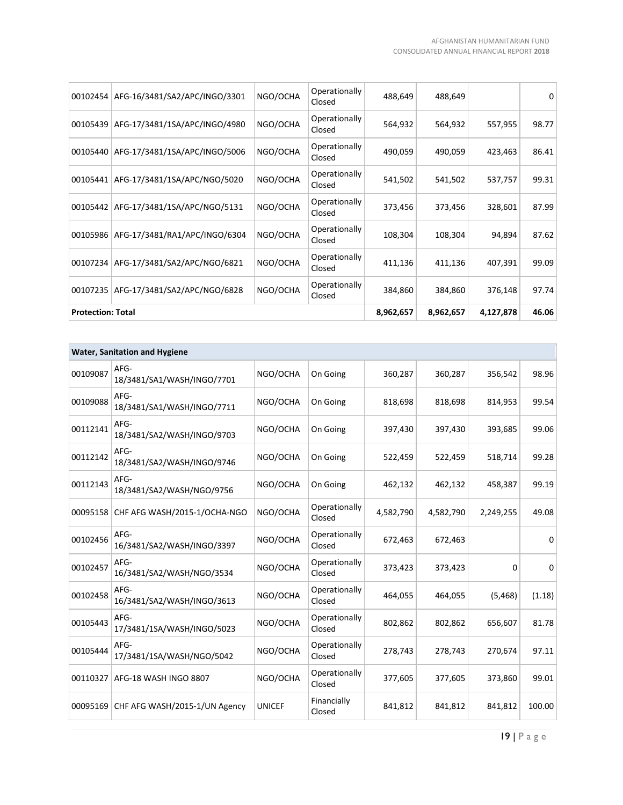| <b>Protection: Total</b> |                               |          |                         | 8,962,657 | 8,962,657 | 4,127,878 | 46.06 |
|--------------------------|-------------------------------|----------|-------------------------|-----------|-----------|-----------|-------|
| 00107235                 | AFG-17/3481/SA2/APC/NGO/6828  | NGO/OCHA | Operationally<br>Closed | 384,860   | 384,860   | 376,148   | 97.74 |
| 00107234                 | AFG-17/3481/SA2/APC/NGO/6821  | NGO/OCHA | Operationally<br>Closed | 411,136   | 411,136   | 407,391   | 99.09 |
| 00105986                 | AFG-17/3481/RA1/APC/INGO/6304 | NGO/OCHA | Operationally<br>Closed | 108,304   | 108,304   | 94,894    | 87.62 |
| 00105442                 | AFG-17/3481/1SA/APC/NGO/5131  | NGO/OCHA | Operationally<br>Closed | 373,456   | 373,456   | 328,601   | 87.99 |
| 00105441                 | AFG-17/3481/1SA/APC/NGO/5020  | NGO/OCHA | Operationally<br>Closed | 541,502   | 541,502   | 537,757   | 99.31 |
| 00105440                 | AFG-17/3481/1SA/APC/INGO/5006 | NGO/OCHA | Operationally<br>Closed | 490,059   | 490,059   | 423,463   | 86.41 |
| 00105439                 | AFG-17/3481/1SA/APC/INGO/4980 | NGO/OCHA | Operationally<br>Closed | 564,932   | 564,932   | 557,955   | 98.77 |
| 00102454                 | AFG-16/3481/SA2/APC/INGO/3301 | NGO/OCHA | Operationally<br>Closed | 488,649   | 488,649   |           | 0     |
|                          |                               |          |                         |           |           |           |       |

| <b>Water, Sanitation and Hygiene</b> |                                    |               |                         |           |           |           |              |
|--------------------------------------|------------------------------------|---------------|-------------------------|-----------|-----------|-----------|--------------|
| 00109087                             | AFG-<br>18/3481/SA1/WASH/INGO/7701 | NGO/OCHA      | On Going                | 360,287   | 360,287   | 356,542   | 98.96        |
| 00109088                             | AFG-<br>18/3481/SA1/WASH/INGO/7711 | NGO/OCHA      | On Going                | 818,698   | 818,698   | 814,953   | 99.54        |
| 00112141                             | AFG-<br>18/3481/SA2/WASH/INGO/9703 | NGO/OCHA      | On Going                | 397,430   | 397,430   | 393,685   | 99.06        |
| 00112142                             | AFG-<br>18/3481/SA2/WASH/INGO/9746 | NGO/OCHA      | On Going                | 522,459   | 522,459   | 518,714   | 99.28        |
| 00112143                             | AFG-<br>18/3481/SA2/WASH/NGO/9756  | NGO/OCHA      | On Going                | 462,132   | 462,132   | 458,387   | 99.19        |
| 00095158                             | CHF AFG WASH/2015-1/OCHA-NGO       | NGO/OCHA      | Operationally<br>Closed | 4,582,790 | 4,582,790 | 2,249,255 | 49.08        |
| 00102456                             | AFG-<br>16/3481/SA2/WASH/INGO/3397 | NGO/OCHA      | Operationally<br>Closed | 672,463   | 672,463   |           | <sup>0</sup> |
| 00102457                             | AFG-<br>16/3481/SA2/WASH/NGO/3534  | NGO/OCHA      | Operationally<br>Closed | 373,423   | 373,423   | 0         | 0            |
| 00102458                             | AFG-<br>16/3481/SA2/WASH/INGO/3613 | NGO/OCHA      | Operationally<br>Closed | 464,055   | 464,055   | (5, 468)  | (1.18)       |
| 00105443                             | AFG-<br>17/3481/1SA/WASH/INGO/5023 | NGO/OCHA      | Operationally<br>Closed | 802,862   | 802,862   | 656,607   | 81.78        |
| 00105444                             | AFG-<br>17/3481/1SA/WASH/NGO/5042  | NGO/OCHA      | Operationally<br>Closed | 278,743   | 278,743   | 270,674   | 97.11        |
| 00110327                             | AFG-18 WASH INGO 8807              | NGO/OCHA      | Operationally<br>Closed | 377,605   | 377,605   | 373,860   | 99.01        |
| 00095169                             | CHF AFG WASH/2015-1/UN Agency      | <b>UNICEF</b> | Financially<br>Closed   | 841,812   | 841,812   | 841,812   | 100.00       |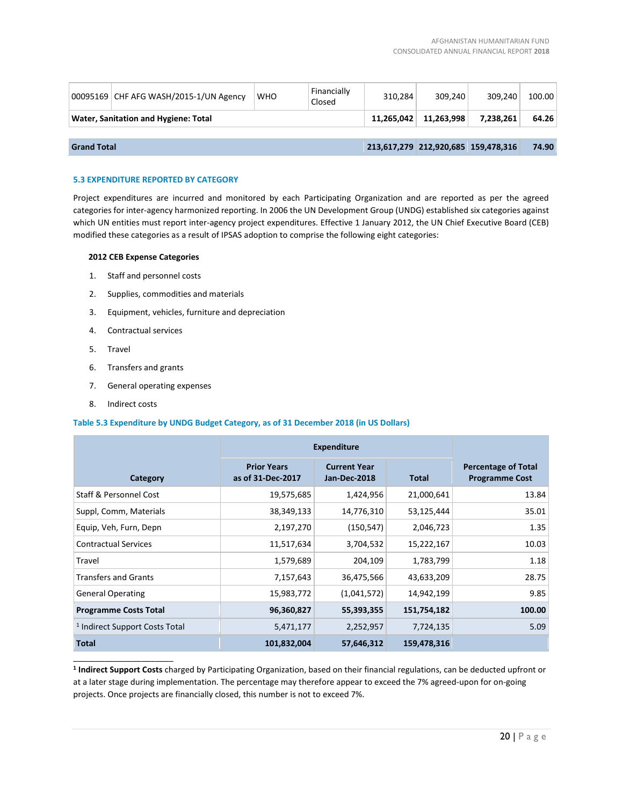|                                      | 00095169 CHF AFG WASH/2015-1/UN Agency | <b>WHO</b> | Financially<br>Closed | 310.284    | 309.240                             | 309.240   | 100.00 |
|--------------------------------------|----------------------------------------|------------|-----------------------|------------|-------------------------------------|-----------|--------|
| Water, Sanitation and Hygiene: Total |                                        |            |                       | 11.265.042 | 11.263.998                          | 7.238.261 | 64.26  |
|                                      |                                        |            |                       |            |                                     |           |        |
| <b>Grand Total</b>                   |                                        |            |                       |            | 213,617,279 212,920,685 159,478,316 |           | 74.90  |

# **5.3 EXPENDITURE REPORTED BY CATEGORY**

Project expenditures are incurred and monitored by each Participating Organization and are reported as per the agreed categories for inter-agency harmonized reporting. In 2006 the UN Development Group (UNDG) established six categories against which UN entities must report inter-agency project expenditures. Effective 1 January 2012, the UN Chief Executive Board (CEB) modified these categories as a result of IPSAS adoption to comprise the following eight categories:

### **2012 CEB Expense Categories**

- 1. Staff and personnel costs
- 2. Supplies, commodities and materials
- 3. Equipment, vehicles, furniture and depreciation
- 4. Contractual services
- 5. Travel
- 6. Transfers and grants
- 7. General operating expenses
- 8. Indirect costs

\_\_\_\_\_\_\_\_\_\_\_\_\_\_\_\_\_\_\_\_\_\_

### **Table 5.3 Expenditure by UNDG Budget Category, as of 31 December 2018 (in US Dollars)**

|                                           | <b>Expenditure</b>                      |                                            |              |                                                     |
|-------------------------------------------|-----------------------------------------|--------------------------------------------|--------------|-----------------------------------------------------|
| Category                                  | <b>Prior Years</b><br>as of 31-Dec-2017 | <b>Current Year</b><br><b>Jan-Dec-2018</b> | <b>Total</b> | <b>Percentage of Total</b><br><b>Programme Cost</b> |
| Staff & Personnel Cost                    | 19,575,685                              | 1,424,956                                  | 21,000,641   | 13.84                                               |
| Suppl, Comm, Materials                    | 38,349,133                              | 14,776,310                                 | 53,125,444   | 35.01                                               |
| Equip, Veh, Furn, Depn                    | 2,197,270                               | (150, 547)                                 | 2,046,723    | 1.35                                                |
| <b>Contractual Services</b>               | 11,517,634                              | 3,704,532                                  | 15,222,167   | 10.03                                               |
| Travel                                    | 1,579,689                               | 204,109                                    | 1,783,799    | 1.18                                                |
| <b>Transfers and Grants</b>               | 7,157,643                               | 36,475,566                                 | 43,633,209   | 28.75                                               |
| <b>General Operating</b>                  | 15,983,772                              | (1,041,572)                                | 14,942,199   | 9.85                                                |
| <b>Programme Costs Total</b>              | 96,360,827                              | 55,393,355                                 | 151,754,182  | 100.00                                              |
| <sup>1</sup> Indirect Support Costs Total | 5,471,177                               | 2,252,957                                  | 7,724,135    | 5.09                                                |
| Total                                     | 101,832,004                             | 57,646,312                                 | 159,478,316  |                                                     |

**1 Indirect Support Costs** charged by Participating Organization, based on their financial regulations, can be deducted upfront or at a later stage during implementation. The percentage may therefore appear to exceed the 7% agreed-upon for on-going projects. Once projects are financially closed, this number is not to exceed 7%.